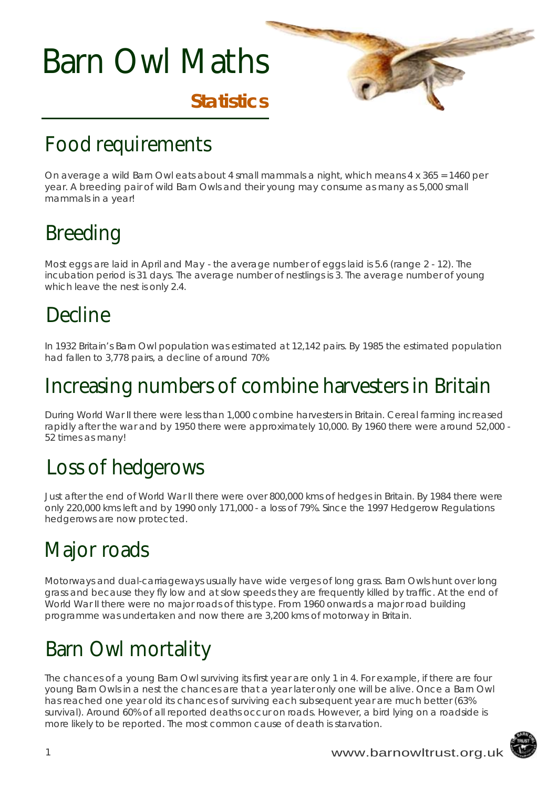# Barn Owl Maths



#### Food requirements

On average a wild Barn Owl eats about 4 small mammals a night, which means 4 x 365 = 1460 per year. A breeding pair of wild Barn Owls and their young may consume as many as 5,000 small mammals in a year!

# Breeding

Most eggs are laid in April and May - the average number of eggs laid is 5.6 (range 2 - 12). The incubation period is 31 days. The average number of nestlings is 3. The average number of young which leave the nest is only 2.4.

### Decline

In 1932 Britain's Barn Owl population was estimated at 12,142 pairs. By 1985 the estimated population had fallen to 3,778 pairs, a decline of around 70%

#### Increasing numbers of combine harvesters in Britain

During World War II there were less than 1,000 combine harvesters in Britain. Cereal farming increased rapidly after the war and by 1950 there were approximately 10,000. By 1960 there were around 52,000 - 52 times as many!

### Loss of hedgerows

Just after the end of World War II there were over 800,000 kms of hedges in Britain. By 1984 there were only 220,000 kms left and by 1990 only 171,000 - a loss of 79%. Since the 1997 Hedgerow Regulations hedgerows are now protected.

## Major roads

Motorways and dual-carriageways usually have wide verges of long grass. Barn Owls hunt over long grass and because they fly low and at slow speeds they are frequently killed by traffic. At the end of World War II there were no major roads of this type. From 1960 onwards a major road building programme was undertaken and now there are 3,200 kms of motorway in Britain.

### Barn Owl mortality

The chances of a young Barn Owl surviving its first year are only 1 in 4. For example, if there are four young Barn Owls in a nest the chances are that a year later only one will be alive. Once a Barn Owl has reached one year old its chances of surviving each subsequent year are much better (63% survival). Around 60% of all reported deaths occur on roads. However, a bird lying on a roadside is more likely to be reported. The most common cause of death is starvation.